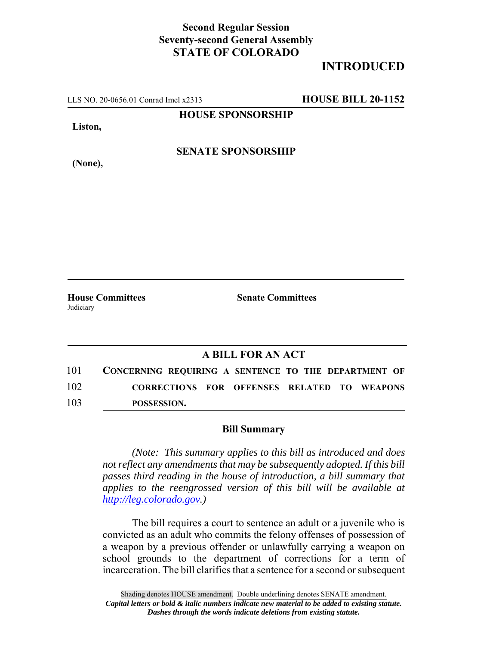## **Second Regular Session Seventy-second General Assembly STATE OF COLORADO**

## **INTRODUCED**

LLS NO. 20-0656.01 Conrad Imel x2313 **HOUSE BILL 20-1152**

**HOUSE SPONSORSHIP**

**Liston,**

**(None),**

**SENATE SPONSORSHIP**

Judiciary

**House Committees Senate Committees** 

## **A BILL FOR AN ACT**

101 **CONCERNING REQUIRING A SENTENCE TO THE DEPARTMENT OF** 102 **CORRECTIONS FOR OFFENSES RELATED TO WEAPONS** 103 **POSSESSION.**

## **Bill Summary**

*(Note: This summary applies to this bill as introduced and does not reflect any amendments that may be subsequently adopted. If this bill passes third reading in the house of introduction, a bill summary that applies to the reengrossed version of this bill will be available at http://leg.colorado.gov.)*

The bill requires a court to sentence an adult or a juvenile who is convicted as an adult who commits the felony offenses of possession of a weapon by a previous offender or unlawfully carrying a weapon on school grounds to the department of corrections for a term of incarceration. The bill clarifies that a sentence for a second or subsequent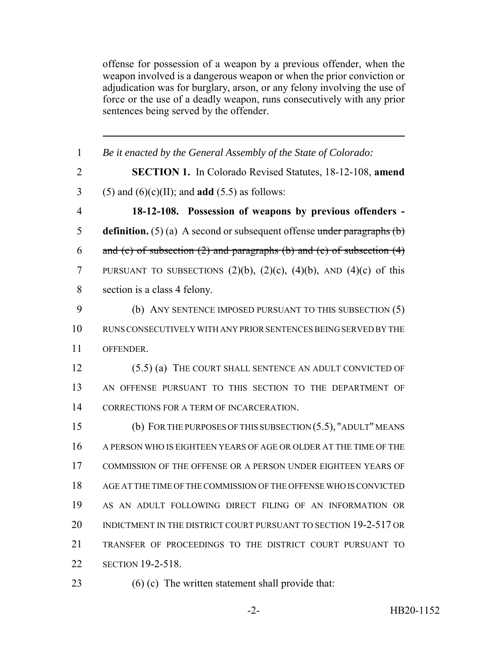offense for possession of a weapon by a previous offender, when the weapon involved is a dangerous weapon or when the prior conviction or adjudication was for burglary, arson, or any felony involving the use of force or the use of a deadly weapon, runs consecutively with any prior sentences being served by the offender.

| $\mathbf{1}$   | Be it enacted by the General Assembly of the State of Colorado:                |
|----------------|--------------------------------------------------------------------------------|
| $\overline{2}$ | <b>SECTION 1.</b> In Colorado Revised Statutes, 18-12-108, amend               |
| 3              | $(5)$ and $(6)(c)(II)$ ; and <b>add</b> $(5.5)$ as follows:                    |
| $\overline{4}$ | 18-12-108. Possession of weapons by previous offenders -                       |
| 5              | <b>definition.</b> (5) (a) A second or subsequent offense under paragraphs (b) |
| 6              | and (c) of subsection $(2)$ and paragraphs (b) and (c) of subsection $(4)$     |
| $\overline{7}$ | PURSUANT TO SUBSECTIONS $(2)(b)$ , $(2)(c)$ , $(4)(b)$ , AND $(4)(c)$ of this  |
| 8              | section is a class 4 felony.                                                   |
| 9              | (b) ANY SENTENCE IMPOSED PURSUANT TO THIS SUBSECTION (5)                       |
| 10             | RUNS CONSECUTIVELY WITH ANY PRIOR SENTENCES BEING SERVED BY THE                |
| 11             | OFFENDER.                                                                      |
| 12             | (5.5) (a) THE COURT SHALL SENTENCE AN ADULT CONVICTED OF                       |
| 13             | AN OFFENSE PURSUANT TO THIS SECTION TO THE DEPARTMENT OF                       |
| 14             | CORRECTIONS FOR A TERM OF INCARCERATION.                                       |
| 15             | (b) FOR THE PURPOSES OF THIS SUBSECTION $(5.5)$ , "ADULT" MEANS                |
| 16             | A PERSON WHO IS EIGHTEEN YEARS OF AGE OR OLDER AT THE TIME OF THE              |
| 17             | COMMISSION OF THE OFFENSE OR A PERSON UNDER EIGHTEEN YEARS OF                  |
| 18             | AGE AT THE TIME OF THE COMMISSION OF THE OFFENSE WHO IS CONVICTED              |
| 19             | AS AN ADULT FOLLOWING DIRECT FILING OF AN INFORMATION OR                       |
| 20             | INDICTMENT IN THE DISTRICT COURT PURSUANT TO SECTION 19-2-517 OR               |
| 21             | TRANSFER OF PROCEEDINGS TO THE DISTRICT COURT PURSUANT TO                      |
| 22             | <b>SECTION 19-2-518.</b>                                                       |
|                |                                                                                |

(6) (c) The written statement shall provide that: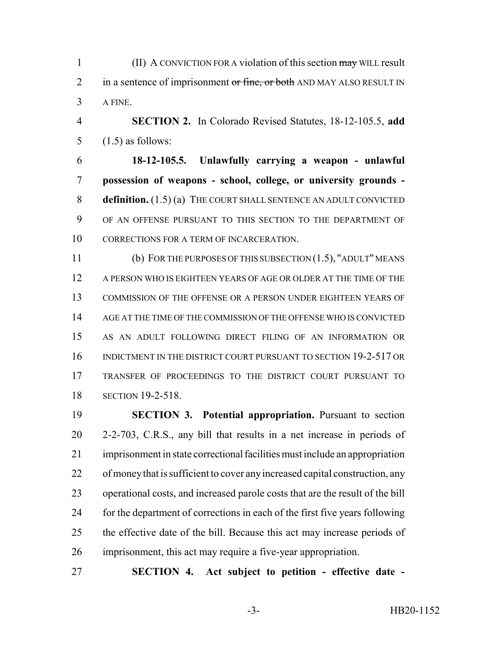1 (II) A CONVICTION FOR A violation of this section may WILL result 2 in a sentence of imprisonment or fine, or both AND MAY ALSO RESULT IN A FINE.

 **SECTION 2.** In Colorado Revised Statutes, 18-12-105.5, **add** 5  $(1.5)$  as follows:

 **18-12-105.5. Unlawfully carrying a weapon - unlawful possession of weapons - school, college, or university grounds - definition.** (1.5) (a) THE COURT SHALL SENTENCE AN ADULT CONVICTED OF AN OFFENSE PURSUANT TO THIS SECTION TO THE DEPARTMENT OF CORRECTIONS FOR A TERM OF INCARCERATION.

 (b) FOR THE PURPOSES OF THIS SUBSECTION (1.5), "ADULT" MEANS A PERSON WHO IS EIGHTEEN YEARS OF AGE OR OLDER AT THE TIME OF THE COMMISSION OF THE OFFENSE OR A PERSON UNDER EIGHTEEN YEARS OF AGE AT THE TIME OF THE COMMISSION OF THE OFFENSE WHO IS CONVICTED AS AN ADULT FOLLOWING DIRECT FILING OF AN INFORMATION OR INDICTMENT IN THE DISTRICT COURT PURSUANT TO SECTION 19-2-517 OR TRANSFER OF PROCEEDINGS TO THE DISTRICT COURT PURSUANT TO SECTION 19-2-518.

 **SECTION 3. Potential appropriation.** Pursuant to section 2-2-703, C.R.S., any bill that results in a net increase in periods of imprisonment in state correctional facilities must include an appropriation of money that is sufficient to cover any increased capital construction, any operational costs, and increased parole costs that are the result of the bill for the department of corrections in each of the first five years following the effective date of the bill. Because this act may increase periods of imprisonment, this act may require a five-year appropriation.

**SECTION 4. Act subject to petition - effective date -**

-3- HB20-1152